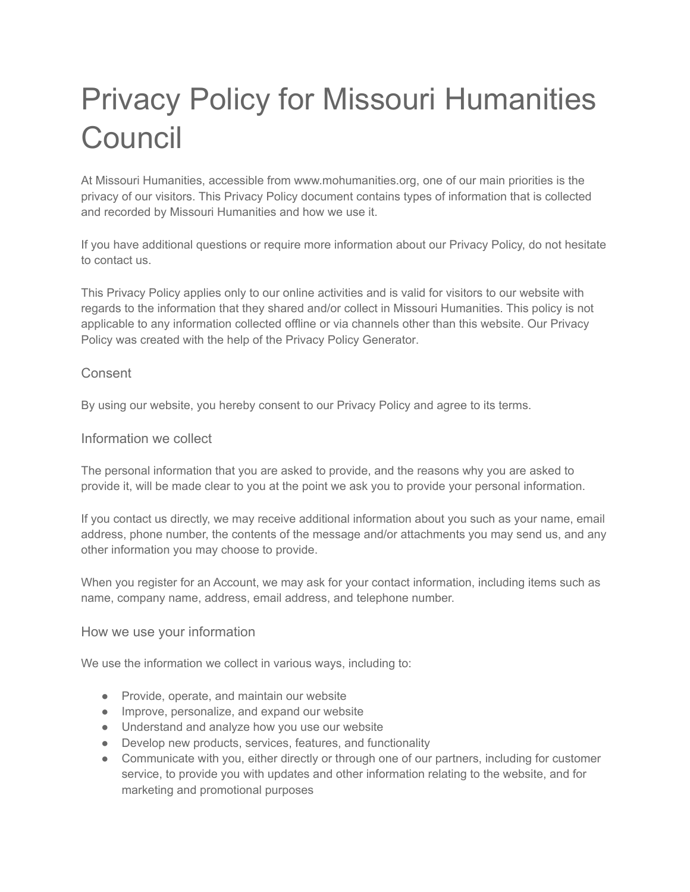# Privacy Policy for Missouri Humanities **Council**

At Missouri Humanities, accessible from www.mohumanities.org, one of our main priorities is the privacy of our visitors. This Privacy Policy document contains types of information that is collected and recorded by Missouri Humanities and how we use it.

If you have additional questions or require more information about our Privacy Policy, do not hesitate to contact us.

This Privacy Policy applies only to our online activities and is valid for visitors to our website with regards to the information that they shared and/or collect in Missouri Humanities. This policy is not applicable to any information collected offline or via channels other than this website. Our Privacy Policy was created with the help of the [Privacy Policy](https://www.privacypolicygenerator.info/) Generator.

## Consent

By using our website, you hereby consent to our Privacy Policy and agree to its terms.

#### Information we collect

The personal information that you are asked to provide, and the reasons why you are asked to provide it, will be made clear to you at the point we ask you to provide your personal information.

If you contact us directly, we may receive additional information about you such as your name, email address, phone number, the contents of the message and/or attachments you may send us, and any other information you may choose to provide.

When you register for an Account, we may ask for your contact information, including items such as name, company name, address, email address, and telephone number.

#### How we use your information

We use the information we collect in various ways, including to:

- Provide, operate, and maintain our website
- Improve, personalize, and expand our website
- Understand and analyze how you use our website
- Develop new products, services, features, and functionality
- Communicate with you, either directly or through one of our partners, including for customer service, to provide you with updates and other information relating to the website, and for marketing and promotional purposes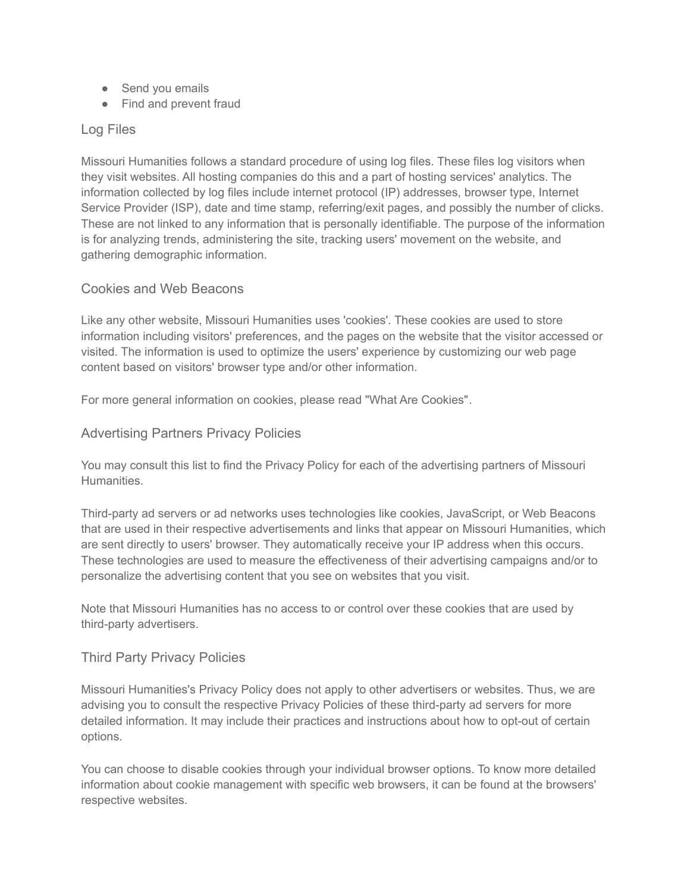- Send you emails
- Find and prevent fraud

# Log Files

Missouri Humanities follows a standard procedure of using log files. These files log visitors when they visit websites. All hosting companies do this and a part of hosting services' analytics. The information collected by log files include internet protocol (IP) addresses, browser type, Internet Service Provider (ISP), date and time stamp, referring/exit pages, and possibly the number of clicks. These are not linked to any information that is personally identifiable. The purpose of the information is for analyzing trends, administering the site, tracking users' movement on the website, and gathering demographic information.

## Cookies and Web Beacons

Like any other website, Missouri Humanities uses 'cookies'. These cookies are used to store information including visitors' preferences, and the pages on the website that the visitor accessed or visited. The information is used to optimize the users' experience by customizing our web page content based on visitors' browser type and/or other information.

For more general information on cookies, please read ["What Are Cookies"](https://www.privacypolicyonline.com/what-are-cookies/).

## Advertising Partners Privacy Policies

You may consult this list to find the Privacy Policy for each of the advertising partners of Missouri Humanities.

Third-party ad servers or ad networks uses technologies like cookies, JavaScript, or Web Beacons that are used in their respective advertisements and links that appear on Missouri Humanities, which are sent directly to users' browser. They automatically receive your IP address when this occurs. These technologies are used to measure the effectiveness of their advertising campaigns and/or to personalize the advertising content that you see on websites that you visit.

Note that Missouri Humanities has no access to or control over these cookies that are used by third-party advertisers.

#### Third Party Privacy Policies

Missouri Humanities's Privacy Policy does not apply to other advertisers or websites. Thus, we are advising you to consult the respective Privacy Policies of these third-party ad servers for more detailed information. It may include their practices and instructions about how to opt-out of certain options.

You can choose to disable cookies through your individual browser options. To know more detailed information about cookie management with specific web browsers, it can be found at the browsers' respective websites.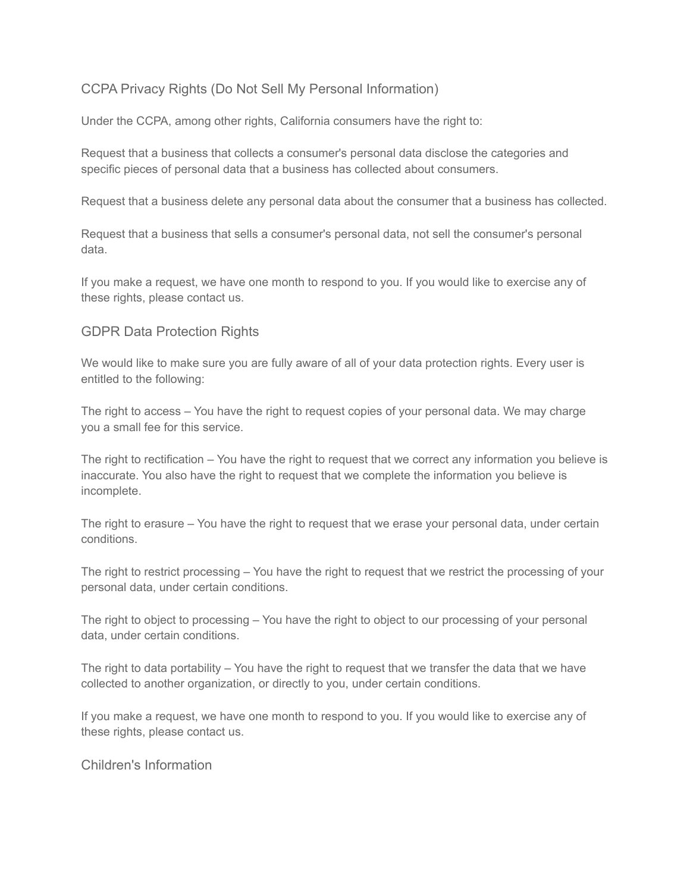# CCPA Privacy Rights (Do Not Sell My Personal Information)

Under the CCPA, among other rights, California consumers have the right to:

Request that a business that collects a consumer's personal data disclose the categories and specific pieces of personal data that a business has collected about consumers.

Request that a business delete any personal data about the consumer that a business has collected.

Request that a business that sells a consumer's personal data, not sell the consumer's personal data.

If you make a request, we have one month to respond to you. If you would like to exercise any of these rights, please contact us.

## GDPR Data Protection Rights

We would like to make sure you are fully aware of all of your data protection rights. Every user is entitled to the following:

The right to access – You have the right to request copies of your personal data. We may charge you a small fee for this service.

The right to rectification – You have the right to request that we correct any information you believe is inaccurate. You also have the right to request that we complete the information you believe is incomplete.

The right to erasure – You have the right to request that we erase your personal data, under certain conditions.

The right to restrict processing – You have the right to request that we restrict the processing of your personal data, under certain conditions.

The right to object to processing – You have the right to object to our processing of your personal data, under certain conditions.

The right to data portability – You have the right to request that we transfer the data that we have collected to another organization, or directly to you, under certain conditions.

If you make a request, we have one month to respond to you. If you would like to exercise any of these rights, please contact us.

Children's Information